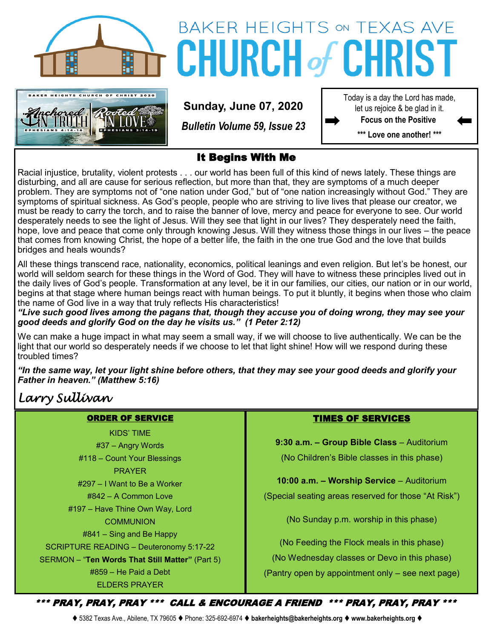



# **BAKER HEIGHTS ON TEXAS AVE CHURCH of CHRIS**

**Sunday, June 07, 2020**

*Bulletin Volume 59, Issue 23*

Today is a day the Lord has made, let us rejoice & be glad in it. **Focus on the Positive** 

**\*\*\* Love one another! \*\*\***

#### It Begins With Me

Racial injustice, brutality, violent protests . . . our world has been full of this kind of news lately. These things are disturbing, and all are cause for serious reflection, but more than that, they are symptoms of a much deeper problem. They are symptoms not of "one nation under God," but of "one nation increasingly without God." They are symptoms of spiritual sickness. As God's people, people who are striving to live lives that please our creator, we must be ready to carry the torch, and to raise the banner of love, mercy and peace for everyone to see. Our world desperately needs to see the light of Jesus. Will they see that light in our lives? They desperately need the faith, hope, love and peace that come only through knowing Jesus. Will they witness those things in our lives – the peace that comes from knowing Christ, the hope of a better life, the faith in the one true God and the love that builds bridges and heals wounds?

All these things transcend race, nationality, economics, political leanings and even religion. But let's be honest, our world will seldom search for these things in the Word of God. They will have to witness these principles lived out in the daily lives of God's people. Transformation at any level, be it in our families, our cities, our nation or in our world, begins at that stage where human beings react with human beings. To put it bluntly, it begins when those who claim the name of God live in a way that truly reflects His characteristics!

*"Live such good lives among the pagans that, though they accuse you of doing wrong, they may see your good deeds and glorify God on the day he visits us." (1 Peter 2:12)*

We can make a huge impact in what may seem a small way, if we will choose to live authentically. We can be the light that our world so desperately needs if we choose to let that light shine! How will we respond during these troubled times?

*"In the same way, let your light shine before others, that they may see your good deeds and glorify your Father in heaven." (Matthew 5:16)*

## *Larry Sullivan*

#### ORDER OF SERVICE

KIDS' TIME #37 – Angry Words #118 – Count Your Blessings PRAYER #297 – I Want to Be a Worker #842 – A Common Love #197 – Have Thine Own Way, Lord **COMMUNION** #841 – Sing and Be Happy SCRIPTURE READING – Deuteronomy 5:17-22 SERMON – "**Ten Words That Still Matter"** (Part 5) #859 – He Paid a Debt ELDERS PRAYER

#### TIMES OF SERVICES

**9:30 a.m. – Group Bible Class** – Auditorium (No Children's Bible classes in this phase)

**10:00 a.m. – Worship Service** – Auditorium (Special seating areas reserved for those "At Risk")

(No Sunday p.m. worship in this phase)

(No Feeding the Flock meals in this phase) (No Wednesday classes or Devo in this phase) (Pantry open by appointment only – see next page)

\*\*\* PRAY, PRAY, PRAY \*\*\* CALL & ENCOURAGE A FRIEND \*\*\* PRAY, PRAY, PRAY \*\*\*

⧫ 5382 Texas Ave., Abilene, TX 79605 ⧫ Phone: 325-692-6974 ⧫ **bakerheights@bakerheights.org** ⧫ **www.bakerheights.org** ⧫